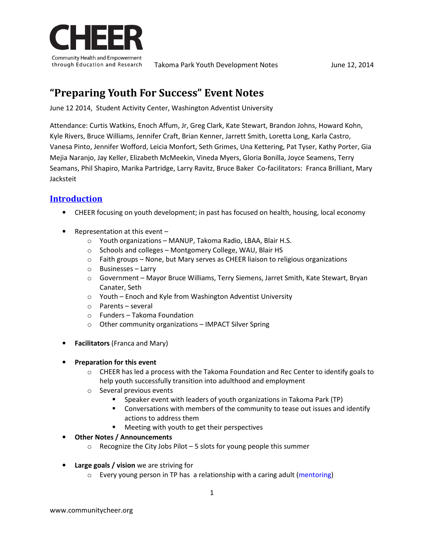

# **"Preparing Youth For Success" Event Notes**

June 12 2014, Student Activity Center, Washington Adventist University

Attendance: Curtis Watkins, Enoch Affum, Jr, Greg Clark, Kate Stewart, Brandon Johns, Howard Kohn, Kyle Rivers, Bruce Williams, Jennifer Craft, Brian Kenner, Jarrett Smith, Loretta Long, Karla Castro, Vanesa Pinto, Jennifer Wofford, Leicia Monfort, Seth Grimes, Una Kettering, Pat Tyser, Kathy Porter, Gia Mejia Naranjo, Jay Keller, Elizabeth McMeekin, Vineda Myers, Gloria Bonilla, Joyce Seamens, Terry Seamans, Phil Shapiro, Marika Partridge, Larry Ravitz, Bruce Baker Co-facilitators: Franca Brilliant, Mary Jacksteit

# **Introduction**

- CHEER focusing on youth development; in past has focused on health, housing, local economy
- Representation at this event
	- o Youth organizations MANUP, Takoma Radio, LBAA, Blair H.S.
	- o Schools and colleges Montgomery College, WAU, Blair HS
	- $\circ$  Faith groups None, but Mary serves as CHEER liaison to religious organizations
	- o Businesses Larry
	- o Government Mayor Bruce Williams, Terry Siemens, Jarret Smith, Kate Stewart, Bryan Canater, Seth
	- o Youth Enoch and Kyle from Washington Adventist University
	- o Parents several
	- o Funders Takoma Foundation
	- o Other community organizations IMPACT Silver Spring
- **Facilitators** (Franca and Mary)

#### • **Preparation for this event**

- $\circ$  CHEER has led a process with the Takoma Foundation and Rec Center to identify goals to help youth successfully transition into adulthood and employment
- o Several previous events
	- Speaker event with leaders of youth organizations in Takoma Park (TP)
	- Conversations with members of the community to tease out issues and identify actions to address them
	- Meeting with youth to get their perspectives
- **Other Notes / Announcements**
	- $\circ$  Recognize the City Jobs Pilot 5 slots for young people this summer
- **Large goals / vision** we are striving for
	- o Every young person in TP has a relationship with a caring adult (mentoring)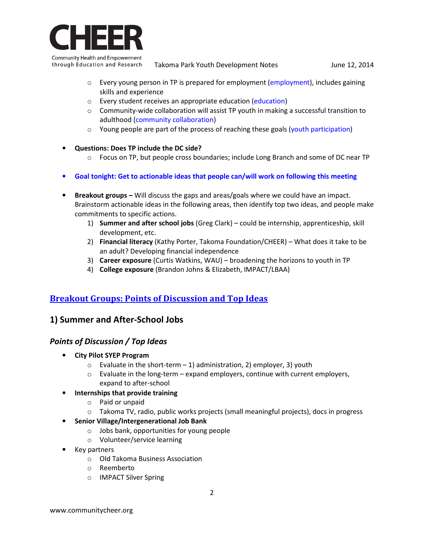

through Education and Research Takoma Park Youth Development Notes June 12, 2014

- $\circ$  Every young person in TP is prepared for employment (employment), includes gaining skills and experience
- o Every student receives an appropriate education (education)
- $\circ$  Community-wide collaboration will assist TP youth in making a successful transition to adulthood (community collaboration)
- $\circ$  Young people are part of the process of reaching these goals (youth participation)
- **Questions: Does TP include the DC side?**
	- $\circ$  Focus on TP, but people cross boundaries; include Long Branch and some of DC near TP
- **Goal tonight: Get to actionable ideas that people can/will work on following this meeting**
- **Breakout groups** Will discuss the gaps and areas/goals where we could have an impact. Brainstorm actionable ideas in the following areas, then identify top two ideas, and people make commitments to specific actions.
	- 1) **Summer and after school jobs** (Greg Clark) could be internship, apprenticeship, skill development, etc.
	- 2) **Financial literacy** (Kathy Porter, Takoma Foundation/CHEER) What does it take to be an adult? Developing financial independence
	- 3) **Career exposure** (Curtis Watkins, WAU) broadening the horizons to youth in TP
	- 4) **College exposure** (Brandon Johns & Elizabeth, IMPACT/LBAA)

# **Breakout Groups: Points of Discussion and Top Ideas**

# **1) Summer and After-School Jobs**

# *Points of Discussion / Top Ideas*

- **City Pilot SYEP Program** 
	- $\circ$  Evaluate in the short-term 1) administration, 2) employer, 3) youth
	- $\circ$  Evaluate in the long-term expand employers, continue with current employers, expand to after-school

#### • **Internships that provide training**

- o Paid or unpaid
- $\circ$  Takoma TV, radio, public works projects (small meaningful projects), docs in progress
- **Senior Village/Intergenerational Job Bank** 
	- o Jobs bank, opportunities for young people
	- o Volunteer/service learning
- Key partners
	- o Old Takoma Business Association
	- o Reemberto
	- o IMPACT Silver Spring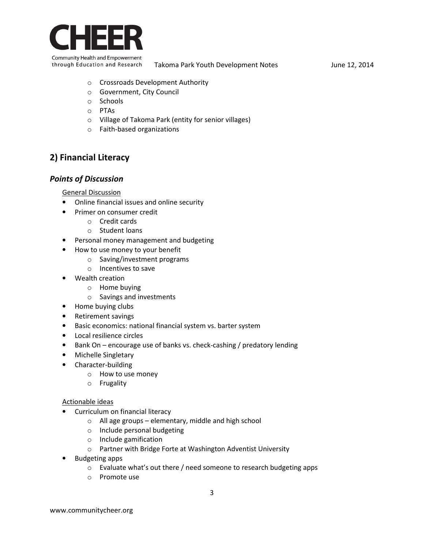

- o Crossroads Development Authority
- o Government, City Council
- o Schools
- o PTAs
- o Village of Takoma Park (entity for senior villages)
- o Faith-based organizations

# **2) Financial Literacy**

### *Points of Discussion*

General Discussion

- Online financial issues and online security
- Primer on consumer credit
	- o Credit cards
	- o Student loans
- Personal money management and budgeting
- How to use money to your benefit
	- o Saving/investment programs
	- o Incentives to save
- Wealth creation
	- o Home buying
	- o Savings and investments
- Home buying clubs
- Retirement savings
- Basic economics: national financial system vs. barter system
- Local resilience circles
- Bank On encourage use of banks vs. check-cashing / predatory lending
- Michelle Singletary
- Character-building
	- o How to use money
	- o Frugality

#### Actionable ideas

- Curriculum on financial literacy
	- o All age groups elementary, middle and high school
	- o Include personal budgeting
	- o Include gamification
	- o Partner with Bridge Forte at Washington Adventist University
- Budgeting apps
	- o Evaluate what's out there / need someone to research budgeting apps
	- o Promote use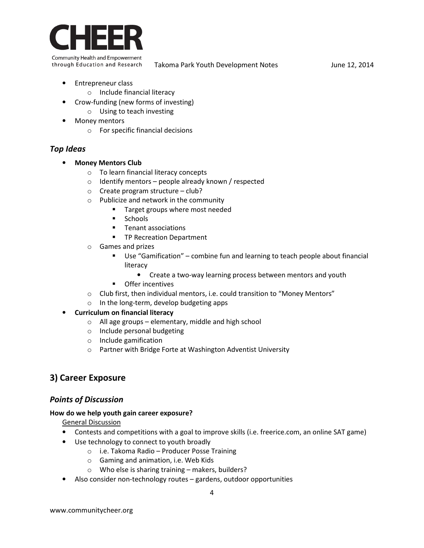

- Entrepreneur class
	- o Include financial literacy
- Crow-funding (new forms of investing)
	- o Using to teach investing
- **Money mentors** 
	- o For specific financial decisions

# *Top Ideas*

- **Money Mentors Club** 
	- o To learn financial literacy concepts
	- $\circ$  Identify mentors people already known / respected
	- o Create program structure club?
	- o Publicize and network in the community
		- **Target groups where most needed**
		- **Schools**
		- **Tenant associations**
		- **TP Recreation Department**
	- o Games and prizes
		- Use "Gamification" combine fun and learning to teach people about financial literacy
			- Create a two-way learning process between mentors and youth
		- **•** Offer incentives
	- $\circ$  Club first, then individual mentors, i.e. could transition to "Money Mentors"
	- o In the long-term, develop budgeting apps

### • **Curriculum on financial literacy**

- o All age groups elementary, middle and high school
- o Include personal budgeting
- o Include gamification
- o Partner with Bridge Forte at Washington Adventist University

# **3) Career Exposure**

### *Points of Discussion*

#### **How do we help youth gain career exposure?**

General Discussion

- Contests and competitions with a goal to improve skills (i.e. freerice.com, an online SAT game)
- Use technology to connect to youth broadly
	- o i.e. Takoma Radio Producer Posse Training
	- o Gaming and animation, i.e. Web Kids
	- o Who else is sharing training makers, builders?
- Also consider non-technology routes gardens, outdoor opportunities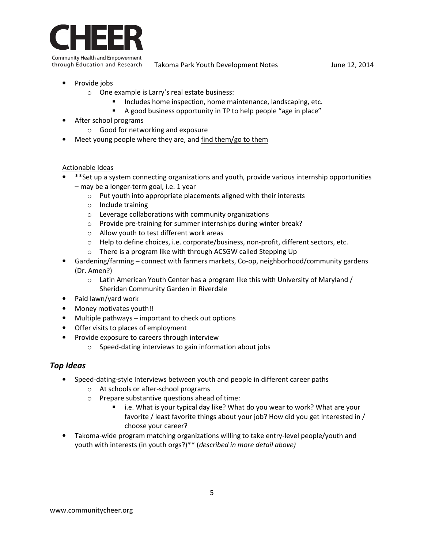

through Education and Research Takoma Park Youth Development Notes June 12, 2014

- Provide jobs
	- o One example is Larry's real estate business:
		- Includes home inspection, home maintenance, landscaping, etc.
		- A good business opportunity in TP to help people "age in place"
- After school programs
	- o Good for networking and exposure
- Meet young people where they are, and find them/go to them

#### Actionable Ideas

- \*\*Set up a system connecting organizations and youth, provide various internship opportunities – may be a longer-term goal, i.e. 1 year
	- o Put youth into appropriate placements aligned with their interests
	- o Include training
	- o Leverage collaborations with community organizations
	- o Provide pre-training for summer internships during winter break?
	- o Allow youth to test different work areas
	- o Help to define choices, i.e. corporate/business, non-profit, different sectors, etc.
	- o There is a program like with through ACSGW called Stepping Up
- Gardening/farming connect with farmers markets, Co-op, neighborhood/community gardens (Dr. Amen?)
	- $\circ$  Latin American Youth Center has a program like this with University of Maryland / Sheridan Community Garden in Riverdale
- Paid lawn/yard work
- Money motivates youth!!
- Multiple pathways important to check out options
- Offer visits to places of employment
- Provide exposure to careers through interview
	- o Speed-dating interviews to gain information about jobs

### *Top Ideas*

- Speed-dating-style Interviews between youth and people in different career paths
	- o At schools or after-school programs
	- o Prepare substantive questions ahead of time:
		- i.e. What is your typical day like? What do you wear to work? What are your favorite / least favorite things about your job? How did you get interested in / choose your career?
- Takoma-wide program matching organizations willing to take entry-level people/youth and youth with interests (in youth orgs?)\*\* (*described in more detail above)*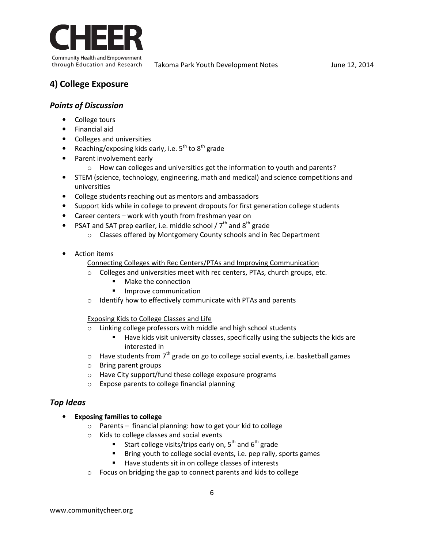

# **4) College Exposure**

### *Points of Discussion*

- College tours
- Financial aid
- Colleges and universities
- Reaching/exposing kids early, i.e.  $5^{th}$  to  $8^{th}$  grade
- Parent involvement early
	- o How can colleges and universities get the information to youth and parents?
- STEM (science, technology, engineering, math and medical) and science competitions and universities
- College students reaching out as mentors and ambassadors
- Support kids while in college to prevent dropouts for first generation college students
- Career centers work with youth from freshman year on
- PSAT and SAT prep earlier, i.e. middle school /  $7<sup>th</sup>$  and 8<sup>th</sup> grade
	- o Classes offered by Montgomery County schools and in Rec Department
- Action items

#### Connecting Colleges with Rec Centers/PTAs and Improving Communication

- o Colleges and universities meet with rec centers, PTAs, church groups, etc.
	- **Make the connection**
	- **Improve communication**
- o Identify how to effectively communicate with PTAs and parents

Exposing Kids to College Classes and Life

- o Linking college professors with middle and high school students
	- Have kids visit university classes, specifically using the subjects the kids are interested in
- $\circ$  Have students from 7<sup>th</sup> grade on go to college social events, i.e. basketball games
- o Bring parent groups
- o Have City support/fund these college exposure programs
- o Expose parents to college financial planning

### *Top Ideas*

- **Exposing families to college** 
	- o Parents financial planning: how to get your kid to college
	- o Kids to college classes and social events
		- Start college visits/trips early on,  $5^{th}$  and  $6^{th}$  grade
		- **Bring youth to college social events, i.e. pep rally, sports games**
		- Have students sit in on college classes of interests
	- o Focus on bridging the gap to connect parents and kids to college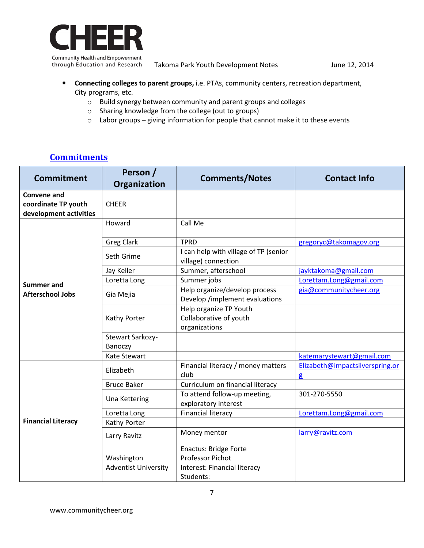

through Education and Research Takoma Park Youth Development Notes June 12, 2014

- **Connecting colleges to parent groups,** i.e. PTAs, community centers, recreation department, City programs, etc.
	- o Build synergy between community and parent groups and colleges
	- o Sharing knowledge from the college (out to groups)
	- $\circ$  Labor groups giving information for people that cannot make it to these events

# **Commitments**

| <b>Commitment</b>                                                   | Person /<br>Organization                  | <b>Comments/Notes</b>                                                                         | <b>Contact Info</b>                             |
|---------------------------------------------------------------------|-------------------------------------------|-----------------------------------------------------------------------------------------------|-------------------------------------------------|
| <b>Convene and</b><br>coordinate TP youth<br>development activities | <b>CHEER</b>                              |                                                                                               |                                                 |
| <b>Summer and</b><br><b>Afterschool Jobs</b>                        | Howard                                    | Call Me                                                                                       |                                                 |
|                                                                     | <b>Greg Clark</b>                         | <b>TPRD</b>                                                                                   | gregoryc@takomagov.org                          |
|                                                                     | Seth Grime                                | I can help with village of TP (senior<br>village) connection                                  |                                                 |
|                                                                     | Jay Keller                                | Summer, afterschool                                                                           | jayktakoma@gmail.com                            |
|                                                                     | Loretta Long                              | Summer jobs                                                                                   | Lorettam.Long@gmail.com                         |
|                                                                     | Gia Mejia                                 | Help organize/develop process<br>Develop /implement evaluations                               | gia@communitycheer.org                          |
|                                                                     | Kathy Porter                              | Help organize TP Youth<br>Collaborative of youth<br>organizations                             |                                                 |
|                                                                     | Stewart Sarkozy-<br>Banoczy               |                                                                                               |                                                 |
|                                                                     | Kate Stewart                              |                                                                                               | katemarystewart@gmail.com                       |
| <b>Financial Literacy</b>                                           | Elizabeth                                 | Financial literacy / money matters<br>club                                                    | Elizabeth@impactsilverspring.or<br>$\mathbf{g}$ |
|                                                                     | <b>Bruce Baker</b>                        | Curriculum on financial literacy                                                              |                                                 |
|                                                                     | <b>Una Kettering</b>                      | To attend follow-up meeting,<br>exploratory interest                                          | 301-270-5550                                    |
|                                                                     | Loretta Long                              | <b>Financial literacy</b>                                                                     | Lorettam.Long@gmail.com                         |
|                                                                     | Kathy Porter                              |                                                                                               |                                                 |
|                                                                     | Larry Ravitz                              | Money mentor                                                                                  | larry@ravitz.com                                |
|                                                                     | Washington<br><b>Adventist University</b> | <b>Enactus: Bridge Forte</b><br>Professor Pichot<br>Interest: Financial literacy<br>Students: |                                                 |